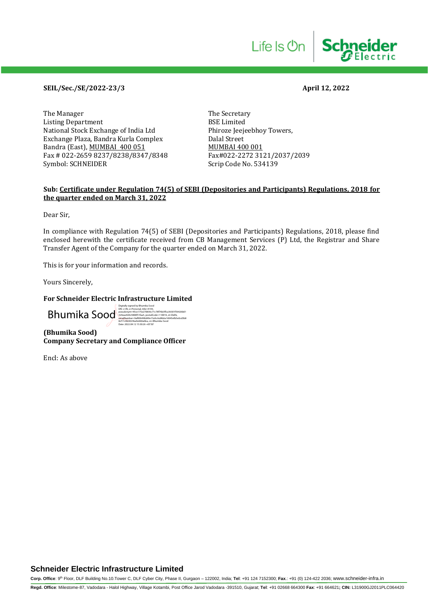## **SEIL/Sec./SE/2022-23/3 April 12, 2022**

The Manager The Secretary<br>Listing Department BSE Limited Listing Department<br>
National Stock Exchange of India Ltd
Bhiroze Ieejeebhov Towers. National Stock Exchange of India Ltd Exchange Plaza, Bandra Kurla Complex Dalal Street Bandra (East), <u>MUMBAI 400 051</u><br>Fax # 022-2659 8237/8238/8347/8348 Fax#022-2272 3121/2037/2039 Fax # 022-2659 8237/8238/8347/8348 Symbol: SCHNEIDER Symbol: SCHNEIDER Scrip Code No. 534139

### **Sub: Certificate under Regulation 74(5) of SEBI (Depositories and Participants) Regulations, 2018 for the quarter ended on March 31, 2022**

Dear Sir,

In compliance with Regulation 74(5) of SEBI (Depositories and Participants) Regulations, 2018, please find enclosed herewith the certificate received from CB Management Services (P) Ltd, the Registrar and Share Transfer Agent of the Company for the quarter ended on March 31, 2022.

This is for your information and records.

Yours Sincerely,

#### **For Schneider Electric Infrastructure Limited**

 ${\color{red}Bhums}$ 

Date: 2022.04.12 15:30:26 +05'30'

**(Bhumika Sood) Company Secretary and Compliance Officer**

Encl: As above

## **Schneider Electric Infrastructure Limited**

**Corp. Office**: 9th Floor, DLF Building No.10.Tower C, DLF Cyber City, Phase II, Gurgaon – 122002, India; **Tel**: +91 124 7152300; **Fax**.: +91 (0) 124-422 2036; www.schneider-infra.in

**Regd. Office**: Milestome-87, Vadodara - Halol Highway, Village Kotambi, Post Office Jarod Vadodara -391510, Gujarat; **Tel**: +91 02668 664300 **Fax**: +91 664621**; CIN:** L31900GJ2011PLC064420